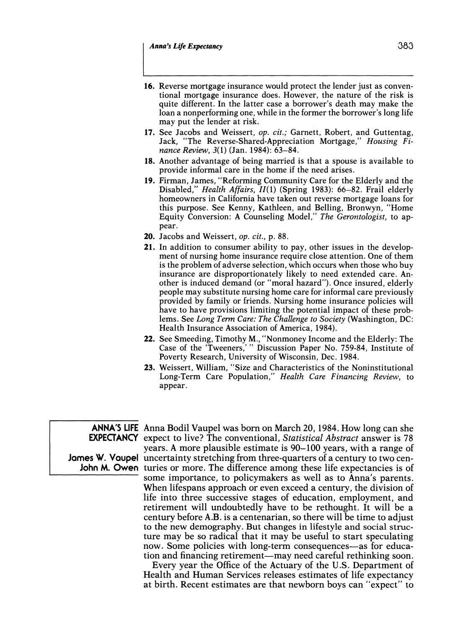- **16. Reverse mortgage insurance would protect the lender just as conventional mortgage insurance does. However, the nature of the risk is quite different. In the latter case a borrower's death may make the loan a nonperforming one, while in the former the borrower's long life may put the lender at risk.**
- **17. See Jacobs and Weissert, op. cit.; Garnett, Robert, and Guttentag, Jack, "The Reverse-Shared-Appreciation Mortgage," Housing Finance Review, 3(1) (Jan. 1984): 63-84.**
- **18. Another advantage of being married is that a spouse is available to provide informal care in the home if the need arises.**
- **19. Firman, James, "Reforming Community Care for the Elderly and the Disabled," Health Affairs, 11(1) (Spring 1983): 66-82. Frail elderly homeowners in California have taken out reverse mortgage loans for this purpose. See Kenny, Kathleen, and Belling, Bronwyn, "Home Equity Conversion: A Counseling Model," The Gerontologist, to appear.**
- **20. Jacobs and Weissert, op. cit., p. 88.**
- **21. In addition to consumer ability to pay, other issues in the development of nursing home insurance require close attention. One of them is the problem of adverse selection, which occurs when those who buy insurance are disproportionately likely to need extended care. Another is induced demand (or "moral hazard"). Once insured, elderly people may substitute nursing home care for informal care previously provided by family or friends. Nursing home insurance policies will have to have provisions limiting the potential impact of these problems. See Long Term Care: The Challenge to Society (Washington, DC: Health Insurance Association of America, 1984).**
- **22. See Smeeding, Timothy M., "Nonmoney Income and the Elderly: The Case of the 'Tweeners,' " Discussion Paper No. 759-84, Institute of Poverty Research, University of Wisconsin, Dec. 1984.**
- **23. Weissert, William, "Size and Characteristics of the Noninstitutional Long-Term Care Population," Health Care Financing Review, to appear.**

**ANNA'S LIFE Anna Bodil Vaupel was born on March 20, 1984. How long can she EXPECTANCY** expect to live? The conventional, Statistical Abstract answer is 78 **Jomes W. Voupel** uncertainty stretching from three-quarters of a century to two cen-**John M. Owen turies or more. The difference among these life expectancies is of years. A more plausible estimate is 90-100 years, with a range of some importance, to policymakers as well as to Anna's parents. When lifespans approach or even exceed a century, the division of life into three successive stages of education, employment, and retirement will undoubtedly have to be rethought. It will be a century before A.B. is a centenarian, so there will be time to adjust to the new demography. But changes in lifestyle and social structure may be so radical that it may be useful to start speculating now. Some policies with long-term consequences-as for education and financing retirement-may need careful rethinking soon.** 

> **Every year the Office of the Actuary of the U.S. Department of Health and Human Services releases estimates of life expectancy at birth. Recent estimates are that newborn boys can "expect" to**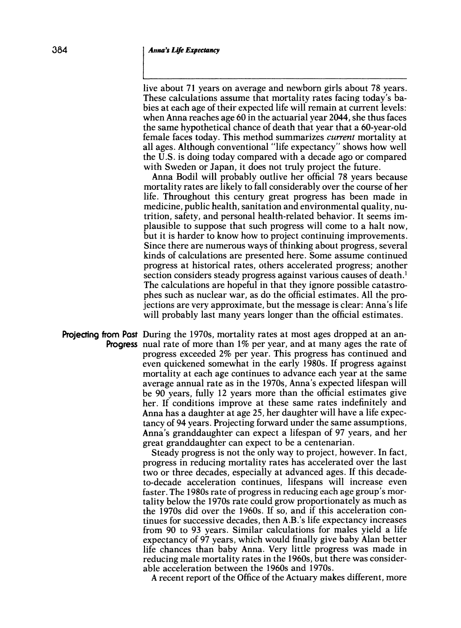**live about 71 years on average and newborn girls about 78 years. These calculations assume that mortality rates facing today's babies at each age of their expected life will remain at current levels: when Anna reaches age 60 in the actuarial year 2044, she thus faces the same hypothetical chance of death that year that a 60-year-old female faces today. This method summarizes current mortality at all ages. Although conventional "life expectancy" shows how well the U.S. is doing today compared with a decade ago or compared with Sweden or Japan, it does not truly project the future.** 

**Anna Bodil will probably outlive her official 78 years because mortality rates are likely to fall considerably over the course of her life. Throughout this century great progress has been made in medicine, public health, sanitation and environmental quality, nutrition, safety, and personal health-related behavior. It seems implausible to suppose that such progress will come to a halt now, but it is harder to know how to project continuing improvements. Since there are numerous ways of thinking about progress, several kinds of calculations are presented here. Some assume continued progress at historical rates, others accelerated progress; another section considers steady progress against various causes of death.1 The calculations are hopeful in that they ignore possible catastrophes such as nuclear war, as do the official estimates. All the projections are very approximate, but the message is clear: Anna's life will probably last many years longer than the official estimates.** 

Projecting from Past During the 1970s, mortality rates at most ages dropped at an an-**Progress nual rate of more than 1% per year, and at many ages the rate of progress exceeded 2% per year. This progress has continued and even quickened somewhat in the early 1980s. If progress against mortality at each age continues to advance each year at the same average annual rate as in the 1970s, Anna's expected lifespan will be 90 years, fully 12 years more than the official estimates give her. If conditions improve at these same rates indefinitely and Anna has a daughter at age 25, her daughter will have a life expectancy of 94 years. Projecting forward under the same assumptions, Anna's granddaughter can expect a lifespan of 97 years, and her great granddaughter can expect to be a centenarian.** 

**Steady progress is not the only way to project, however. In fact, progress in reducing mortality rates has accelerated over the last two or three decades, especially at advanced ages. If this decadeto-decade acceleration continues, lifespans will increase even faster. The 1980s rate of progress in reducing each age group's mortality below the 1970s rate could grow proportionately as much as the 1970s did over the 1960s. If so, and if this acceleration continues for successive decades, then A.B.'s life expectancy increases from 90 to 93 years. Similar calculations for males yield a life expectancy of 97 years, which would finally give baby Alan better life chances than baby Anna. Very little progress was made in reducing male mortality rates in the 1960s, but there was considerable acceleration between the 1960s and 1970s.** 

**A recent report of the Office of the Actuary makes different, more**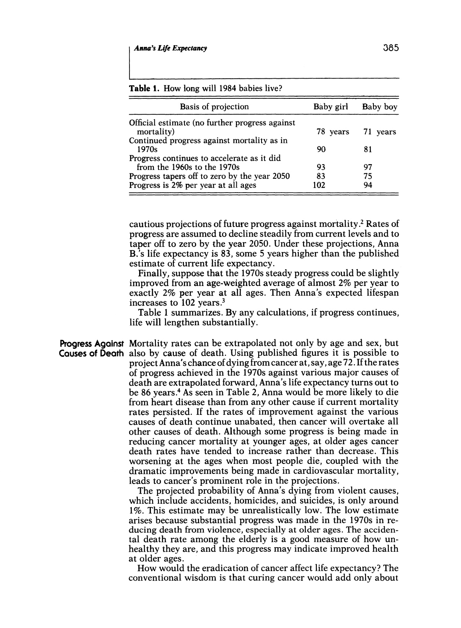| THE I. HOW JONG WILL 1707 DADIES HVC.                                     |           |                 |  |  |
|---------------------------------------------------------------------------|-----------|-----------------|--|--|
| Basis of projection                                                       | Baby girl | <b>Baby</b> boy |  |  |
| Official estimate (no further progress against<br>mortality)              | 78 years  | 71 years        |  |  |
| Continued progress against mortality as in<br>1970s                       | 90        | 81              |  |  |
| Progress continues to accelerate as it did<br>from the 1960s to the 1970s | 93        | 97              |  |  |
| Progress tapers off to zero by the year 2050                              | 83        | 75              |  |  |
| Progress is 2% per year at all ages                                       | 102       | 94              |  |  |

**Table 1. How long will 1984 babies live?** 

**cautious projections of future progress against mortality.2 Rates of progress are assumed to decline steadily from current levels and to taper off to zero by the year 2050. Under these projections, Anna B.'s life expectancy is 83, some 5 years higher than the published estimate of current life expectancy.** 

**Finally, suppose that the 1970s steady progress could be slightly improved from an age-weighted average of almost 2% per year to exactly 2% per year at all ages. Then Anna's expected lifespan increases to 102 years.3** 

**Table 1 summarizes. By any calculations, if progress continues, life will lengthen substantially.** 

**Progress Against Mortality rates can be extrapolated not only by age and sex, but Causes of Death also by cause of death. Using published figures it is possible to project Anna's chance of dying from cancer at, say, age 72. If the rates of progress achieved in the 1970s against various major causes of death are extrapolated forward, Anna's life expectancy turns out to be 86 years.4 As seen in Table 2, Anna would be more likely to die from heart disease than from any other cause if current mortality rates persisted. If the rates of improvement against the various causes of death continue unabated, then cancer will overtake all other causes of death. Although some progress is being made in reducing cancer mortality at younger ages, at older ages cancer death rates have tended to increase rather than decrease. This worsening at the ages when most people die, coupled with the dramatic improvements being made in cardiovascular mortality, leads to cancer's prominent role in the projections.** 

> **The projected probability of Anna's dying from violent causes, which include accidents, homicides, and suicides, is only around 1%. This estimate may be unrealistically low. The low estimate arises because substantial progress was made in the 1970s in reducing death from violence, especially at older ages. The accidental death rate among the elderly is a good measure of how unhealthy they are, and this progress may indicate improved health at older ages.**

> **How would the eradication of cancer affect life expectancy? The conventional wisdom is that curing cancer would add only about**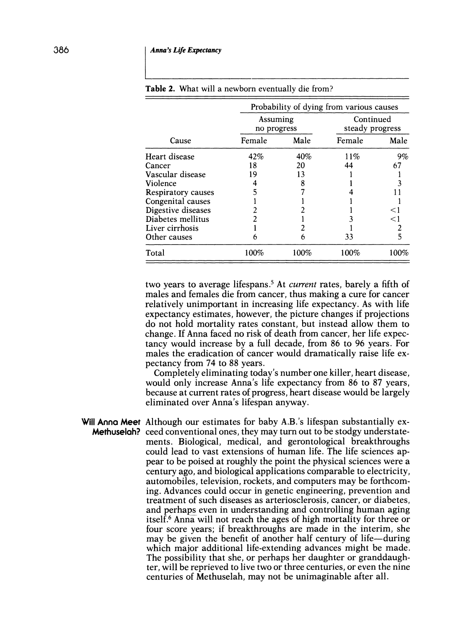|                           | Probability of dying from various causes |      |                              |          |
|---------------------------|------------------------------------------|------|------------------------------|----------|
| Cause                     | Assuming<br>no progress                  |      | Continued<br>steady progress |          |
|                           | Female                                   | Male | Female                       | Male     |
| Heart disease             | 42%                                      | 40%  | 11%                          | 9%       |
| Cancer                    | 18                                       | 20   | 44                           | 67       |
| Vascular disease          | 19                                       | 13   |                              |          |
| Violence                  |                                          | 8    |                              |          |
| <b>Respiratory causes</b> |                                          |      |                              |          |
| Congenital causes         |                                          |      |                              |          |
| Digestive diseases        |                                          |      |                              | $\leq$ 1 |
| Diabetes mellitus         |                                          |      |                              | $<$ 1    |
| Liver cirrhosis           |                                          |      |                              |          |
| Other causes              | 6                                        | 6    | 33                           | 5        |
| Total                     | 100%                                     | 100% | 100%                         | 100%     |

**Table 2. What will a newborn eventually die from?** 

**two years to average lifespans.5 At current rates, barely a fifth of males and females die from cancer, thus making a cure for cancer relatively unimportant in increasing life expectancy. As with life expectancy estimates, however, the picture changes if projections do not hold mortality rates constant, but instead allow them to change. If Anna faced no risk of death from cancer, her life expectancy would increase by a full decade, from 86 to 96 years. For males the eradication of cancer would dramatically raise life expectancy from 74 to 88 years.** 

**Completely eliminating today's number one killer, heart disease, would only increase Anna's life expectancy from 86 to 87 years, because at current rates of progress, heart disease would be largely eliminated over Anna's lifespan anyway.** 

**Will Anna Meet Although our estimates for baby A.B.'s lifespan substantially ex-Methuselah? ceed conventional ones, they may turn out to be stodgy understatements. Biological, medical, and gerontological breakthroughs could lead to vast extensions of human life. The life sciences appear to be poised at roughly the point the physical sciences were a century ago, and biological applications comparable to electricity, automobiles, television, rockets, and computers may be forthcoming. Advances could occur in genetic engineering, prevention and treatment of such diseases as arteriosclerosis, cancer, or diabetes, and perhaps even in understanding and controlling human aging itself.6 Anna will not reach the ages of high mortality for three or four score years; if breakthroughs are made in the interim, she may be given the benefit of another half century of life-during which major additional life-extending advances might be made. The possibility that she, or perhaps her daughter or granddaughter, will be reprieved to live two or three centuries, or even the nine centuries of Methuselah, may not be unimaginable after all.**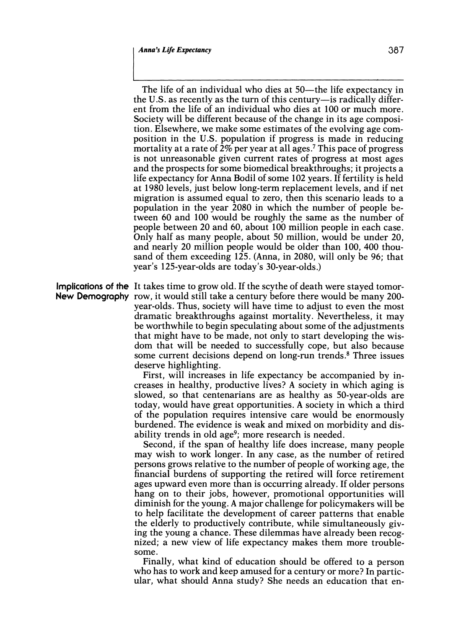The life of an individual who dies at 50—the life expectancy in **the U.S. as recently as the turn of this century-is radically different from the life of an individual who dies at 100 or much more. Society will be different because of the change in its age composition. Elsewhere, we make some estimates of the evolving age composition in the U.S. population if progress is made in reducing mortality at a rate of 2% per year at all ages.7 This pace of progress is not unreasonable given current rates of progress at most ages and the prospects for some biomedical breakthroughs; it projects a life expectancy for Anna Bodil of some 102 years. If fertility is held at 1980 levels, just below long-term replacement levels, and if net migration is assumed equal to zero, then this scenario leads to a population in the year 2080 in which the number of people between 60 and 100 would be roughly the same as the number of people between 20 and 60, about 100 million people in each case. Only half as many people, about 50 million, would be under 20, and nearly 20 million people would be older than 100, 400 thousand of them exceeding 125. (Anna, in 2080, will only be 96; that year's 125-year-olds are today's 30-year-olds.)** 

**Implications of the It takes time to grow old. If the scythe of death were stayed tomor-New Demography row, it would still take a century before there would be many 200 year-olds. Thus, society will have time to adjust to even the most dramatic breakthroughs against mortality. Nevertheless, it may be worthwhile to begin speculating about some of the adjustments that might have to be made, not only to start developing the wisdom that will be needed to successfully cope, but also because some current decisions depend on long-run trends.8 Three issues deserve highlighting.** 

**First, will increases in life expectancy be accompanied by increases in healthy, productive lives? A society in which aging is slowed, so that centenarians are as healthy as 50-year-olds are today, would have great opportunities. A society in which a third of the population requires intensive care would be enormously burdened. The evidence is weak and mixed on morbidity and disability trends in old age9; more research is needed.** 

**Second, if the span of healthy life does increase, many people may wish to work longer. In any case, as the number of retired persons grows relative to the number of people of working age, the financial burdens of supporting the retired will force retirement ages upward even more than is occurring already. If older persons hang on to their jobs, however, promotional opportunities will diminish for the young. A major challenge for policymakers will be to help facilitate the development of career patterns that enable the elderly to productively contribute, while simultaneously giving the young a chance. These dilemmas have already been recognized; a new view of life expectancy makes them more troublesome.** 

**Finally, what kind of education should be offered to a person who has to work and keep amused for a century or more? In particular, what should Anna study? She needs an education that en-**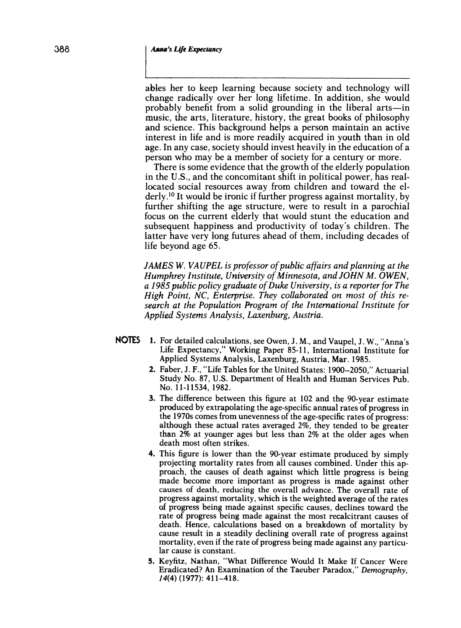**ables her to keep learning because society and technology will change radically over her long lifetime. In addition, she would**  probably benefit from a solid grounding in the liberal arts-in **music, the arts, literature, history, the great books of philosophy and science. This background helps a person maintain an active interest in life and is more readily acquired in youth than in old age. In any case, society should invest heavily in the education of a person who may be a member of society for a century or more.** 

**There is some evidence that the growth of the elderly population in the U.S., and the concomitant shift in political power, has reallocated social resources away from children and toward the elderly.'0 It would be ironic if further progress against mortality, by further shifting the age structure, were to result in a parochial focus on the current elderly that would stunt the education and subsequent happiness and productivity of today's children. The latter have very long futures ahead of them, including decades of life beyond age 65.** 

**JAMES W. VAUPEL is professor of public affairs and planning at the Humphrey Institute, University of Minnesota, and JOHN M. OWEN, a 1985 public policy graduate of Duke University, is a reporter for The High Point, NC, Enterprise. They collaborated on most of this research at the Population Program of the International Institute for Applied Systems Analysis, Laxenburg, Austria.** 

- **NOTES 1. For detailed calculations, see Owen, J. M., and Vaupel, J. W., "Anna's Life Expectancy," Working Paper 85-11, International Institute for Applied Systems Analysis, Laxenburg, Austria, Mar. 1985.** 
	- **2. Faber, J. F., "Life Tables for the United States: 1900-2050," Actuarial Study No. 87, U.S. Department of Health and Human Services Pub. No. 11-11534, 1982.**
	- **3. The difference between this figure at 102 and the 90-year estimate produced by extrapolating the age-specific annual rates of progress in the 1970s comes from unevenness of the age-specific rates of progress: although these actual rates averaged 2%, they tended to be greater than 2% at younger ages but less than 2% at the older ages when death most often strikes.**
	- **4. This figure is lower than the 90-year estimate produced by simply projecting mortality rates from all causes combined. Under this approach, the causes of death against which little progress is being made become more important as progress is made against other causes of death, reducing the overall advance. The overall rate of progress against mortality, which is the weighted average of the rates of progress being made against specific causes, declines toward the rate of progress being made against the most recalcitrant causes of death. Hence, calculations based on a breakdown of mortality by cause result in a steadily declining overall rate of progress against mortality, even if the rate of progress being made against any particular cause is constant.**
	- **5. Keyfitz, Nathan, "What Difference Would It Make If Cancer Were Eradicated? An Examination of the Taeuber Paradox," Demography, 14(4) (1977): 411-418.**